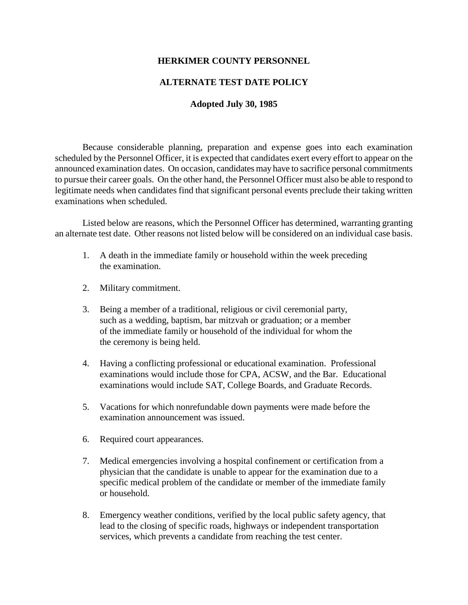## **HERKIMER COUNTY PERSONNEL**

## **ALTERNATE TEST DATE POLICY**

#### **Adopted July 30, 1985**

Because considerable planning, preparation and expense goes into each examination scheduled by the Personnel Officer, it is expected that candidates exert every effort to appear on the announced examination dates. On occasion, candidates may have to sacrifice personal commitments to pursue their career goals. On the other hand, the Personnel Officer must also be able to respond to legitimate needs when candidates find that significant personal events preclude their taking written examinations when scheduled.

Listed below are reasons, which the Personnel Officer has determined, warranting granting an alternate test date. Other reasons not listed below will be considered on an individual case basis.

- 1. A death in the immediate family or household within the week preceding the examination.
- 2. Military commitment.
- 3. Being a member of a traditional, religious or civil ceremonial party, such as a wedding, baptism, bar mitzvah or graduation; or a member of the immediate family or household of the individual for whom the the ceremony is being held.
- 4. Having a conflicting professional or educational examination. Professional examinations would include those for CPA, ACSW, and the Bar. Educational examinations would include SAT, College Boards, and Graduate Records.
- 5. Vacations for which nonrefundable down payments were made before the examination announcement was issued.
- 6. Required court appearances.
- 7. Medical emergencies involving a hospital confinement or certification from a physician that the candidate is unable to appear for the examination due to a specific medical problem of the candidate or member of the immediate family or household.
- 8. Emergency weather conditions, verified by the local public safety agency, that lead to the closing of specific roads, highways or independent transportation services, which prevents a candidate from reaching the test center.